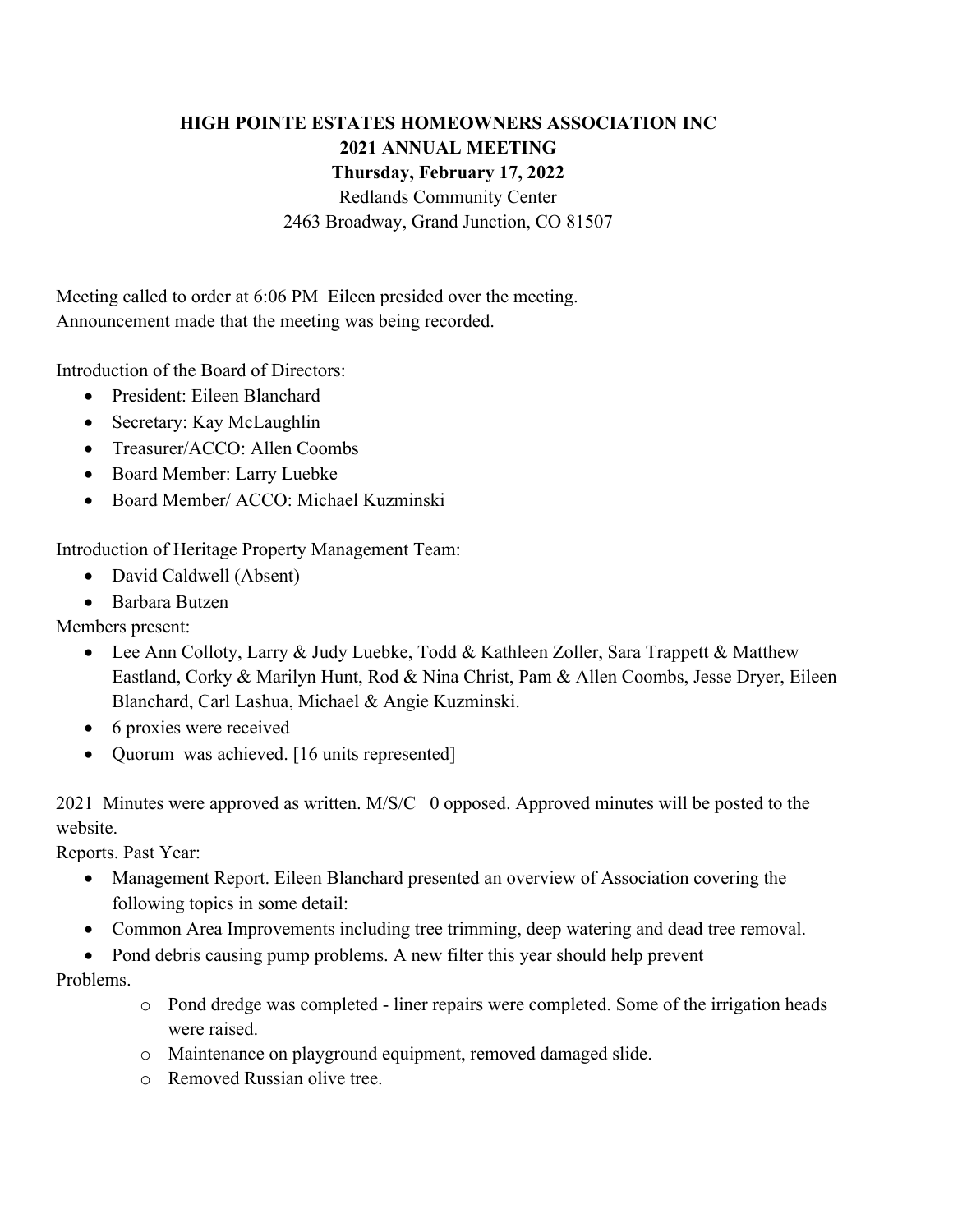## **HIGH POINTE ESTATES HOMEOWNERS ASSOCIATION INC 2021 ANNUAL MEETING Thursday, February 17, 2022**

Redlands Community Center

2463 Broadway, Grand Junction, CO 81507

Meeting called to order at 6:06 PM Eileen presided over the meeting. Announcement made that the meeting was being recorded.

Introduction of the Board of Directors:

- President: Eileen Blanchard
- Secretary: Kay McLaughlin
- Treasurer/ACCO: Allen Coombs
- Board Member: Larry Luebke
- Board Member/ ACCO: Michael Kuzminski

Introduction of Heritage Property Management Team:

- David Caldwell (Absent)
- Barbara Butzen

Members present:

- Lee Ann Colloty, Larry & Judy Luebke, Todd & Kathleen Zoller, Sara Trappett & Matthew Eastland, Corky & Marilyn Hunt, Rod & Nina Christ, Pam & Allen Coombs, Jesse Dryer, Eileen Blanchard, Carl Lashua, Michael & Angie Kuzminski.
- 6 proxies were received
- Quorum was achieved. [16 units represented]

2021 Minutes were approved as written. M/S/C 0 opposed. Approved minutes will be posted to the website.

Reports. Past Year:

- Management Report. Eileen Blanchard presented an overview of Association covering the following topics in some detail:
- Common Area Improvements including tree trimming, deep watering and dead tree removal.
- Pond debris causing pump problems. A new filter this year should help prevent

## Problems.

- o Pond dredge was completed liner repairs were completed. Some of the irrigation heads were raised.
- o Maintenance on playground equipment, removed damaged slide.
- o Removed Russian olive tree.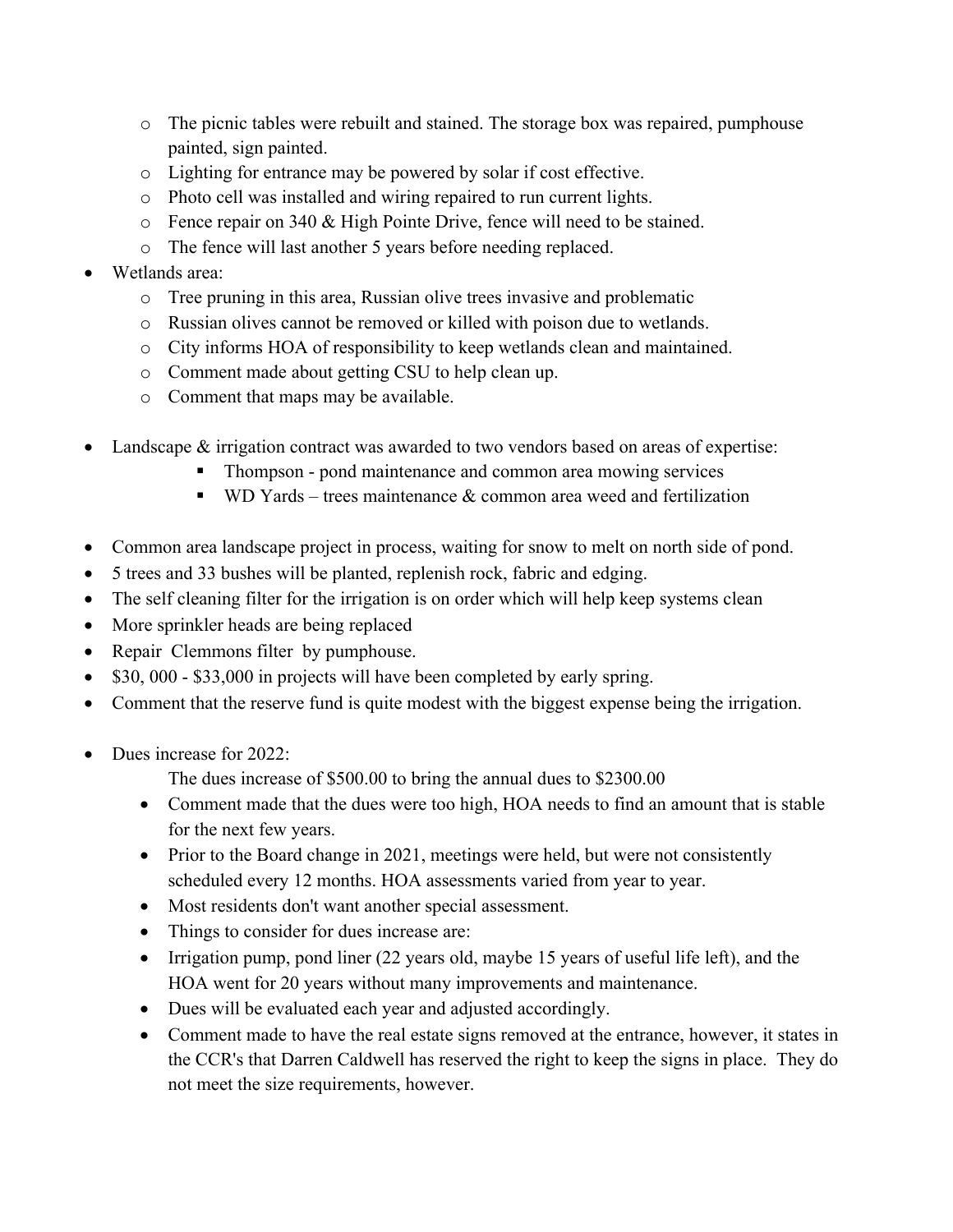- o The picnic tables were rebuilt and stained. The storage box was repaired, pumphouse painted, sign painted.
- o Lighting for entrance may be powered by solar if cost effective.
- o Photo cell was installed and wiring repaired to run current lights.
- o Fence repair on 340 & High Pointe Drive, fence will need to be stained.
- o The fence will last another 5 years before needing replaced.
- Wetlands area:
	- o Tree pruning in this area, Russian olive trees invasive and problematic
	- o Russian olives cannot be removed or killed with poison due to wetlands.
	- o City informs HOA of responsibility to keep wetlands clean and maintained.
	- o Comment made about getting CSU to help clean up.
	- o Comment that maps may be available.
- Landscape & irrigation contract was awarded to two vendors based on areas of expertise:
	- § Thompson pond maintenance and common area mowing services
	- **•** WD Yards trees maintenance  $\&$  common area weed and fertilization
- Common area landscape project in process, waiting for snow to melt on north side of pond.
- 5 trees and 33 bushes will be planted, replenish rock, fabric and edging.
- The self cleaning filter for the irrigation is on order which will help keep systems clean
- More sprinkler heads are being replaced
- Repair Clemmons filter by pumphouse.
- \$30, 000 \$33,000 in projects will have been completed by early spring.
- Comment that the reserve fund is quite modest with the biggest expense being the irrigation.
- Dues increase for 2022:

The dues increase of \$500.00 to bring the annual dues to \$2300.00

- Comment made that the dues were too high, HOA needs to find an amount that is stable for the next few years.
- Prior to the Board change in 2021, meetings were held, but were not consistently scheduled every 12 months. HOA assessments varied from year to year.
- Most residents don't want another special assessment.
- Things to consider for dues increase are:
- Irrigation pump, pond liner (22 years old, maybe 15 years of useful life left), and the HOA went for 20 years without many improvements and maintenance.
- Dues will be evaluated each year and adjusted accordingly.
- Comment made to have the real estate signs removed at the entrance, however, it states in the CCR's that Darren Caldwell has reserved the right to keep the signs in place. They do not meet the size requirements, however.